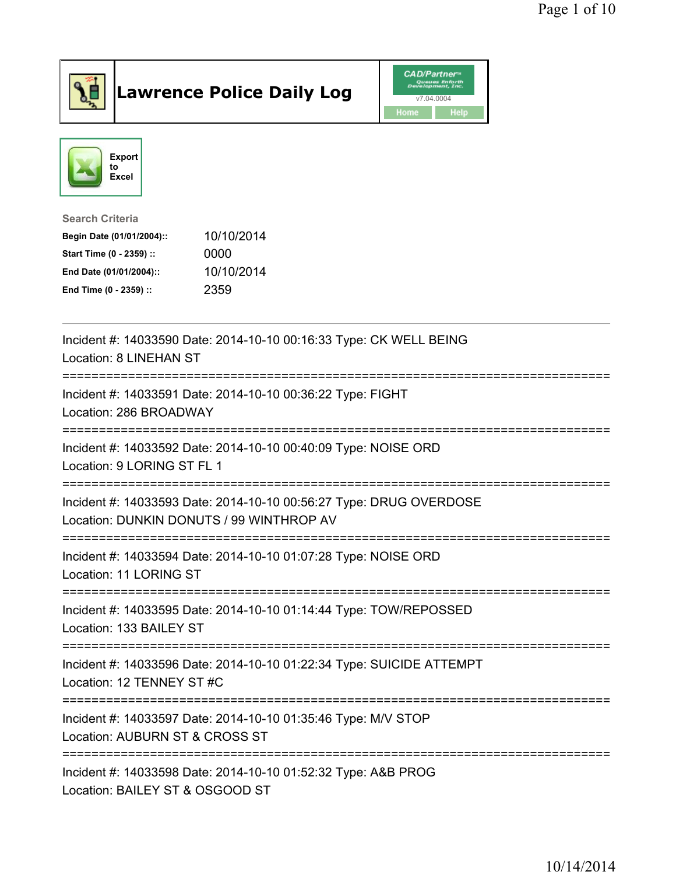

## Lawrence Police Daily Log **Daniel CAD/Partner**





## Search Criteria Begin Date (01/01/2004):: 10/10/2014 Start Time (0 - 2359) :: 0000 End Date (01/01/2004):: 10/10/2014 End Time (0 - 2359) :: 2359

| Incident #: 14033590 Date: 2014-10-10 00:16:33 Type: CK WELL BEING<br>Location: 8 LINEHAN ST                   |
|----------------------------------------------------------------------------------------------------------------|
| Incident #: 14033591 Date: 2014-10-10 00:36:22 Type: FIGHT<br>Location: 286 BROADWAY                           |
| Incident #: 14033592 Date: 2014-10-10 00:40:09 Type: NOISE ORD<br>Location: 9 LORING ST FL 1                   |
| Incident #: 14033593 Date: 2014-10-10 00:56:27 Type: DRUG OVERDOSE<br>Location: DUNKIN DONUTS / 99 WINTHROP AV |
| Incident #: 14033594 Date: 2014-10-10 01:07:28 Type: NOISE ORD<br>Location: 11 LORING ST                       |
| Incident #: 14033595 Date: 2014-10-10 01:14:44 Type: TOW/REPOSSED<br>Location: 133 BAILEY ST                   |
| Incident #: 14033596 Date: 2014-10-10 01:22:34 Type: SUICIDE ATTEMPT<br>Location: 12 TENNEY ST #C              |
| Incident #: 14033597 Date: 2014-10-10 01:35:46 Type: M/V STOP<br>Location: AUBURN ST & CROSS ST                |
| Incident #: 14033598 Date: 2014-10-10 01:52:32 Type: A&B PROG<br>Location: BAILEY ST & OSGOOD ST               |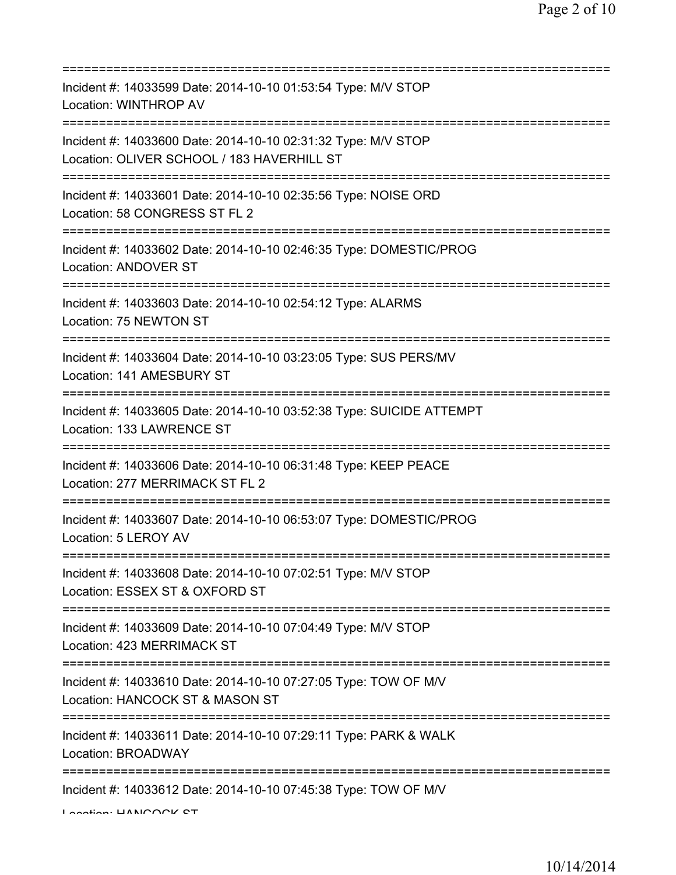| Incident #: 14033599 Date: 2014-10-10 01:53:54 Type: M/V STOP<br>Location: WINTHROP AV                                     |
|----------------------------------------------------------------------------------------------------------------------------|
| Incident #: 14033600 Date: 2014-10-10 02:31:32 Type: M/V STOP<br>Location: OLIVER SCHOOL / 183 HAVERHILL ST                |
| Incident #: 14033601 Date: 2014-10-10 02:35:56 Type: NOISE ORD<br>Location: 58 CONGRESS ST FL 2<br>======================= |
| Incident #: 14033602 Date: 2014-10-10 02:46:35 Type: DOMESTIC/PROG<br>Location: ANDOVER ST                                 |
| Incident #: 14033603 Date: 2014-10-10 02:54:12 Type: ALARMS<br>Location: 75 NEWTON ST<br>================================  |
| Incident #: 14033604 Date: 2014-10-10 03:23:05 Type: SUS PERS/MV<br>Location: 141 AMESBURY ST                              |
| Incident #: 14033605 Date: 2014-10-10 03:52:38 Type: SUICIDE ATTEMPT<br>Location: 133 LAWRENCE ST                          |
| Incident #: 14033606 Date: 2014-10-10 06:31:48 Type: KEEP PEACE<br>Location: 277 MERRIMACK ST FL 2                         |
| Incident #: 14033607 Date: 2014-10-10 06:53:07 Type: DOMESTIC/PROG<br>Location: 5 LEROY AV                                 |
| Incident #: 14033608 Date: 2014-10-10 07:02:51 Type: M/V STOP<br>Location: ESSEX ST & OXFORD ST                            |
| Incident #: 14033609 Date: 2014-10-10 07:04:49 Type: M/V STOP<br>Location: 423 MERRIMACK ST                                |
| Incident #: 14033610 Date: 2014-10-10 07:27:05 Type: TOW OF M/V<br>Location: HANCOCK ST & MASON ST                         |
| Incident #: 14033611 Date: 2014-10-10 07:29:11 Type: PARK & WALK<br>Location: BROADWAY                                     |
| Incident #: 14033612 Date: 2014-10-10 07:45:38 Type: TOW OF M/V                                                            |

Location: HANCOCK CT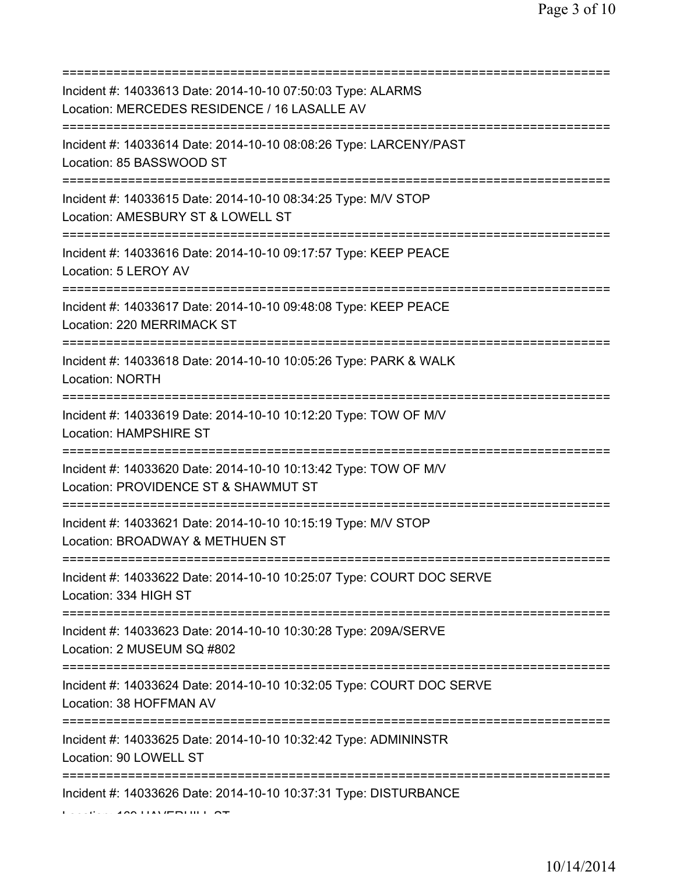| Incident #: 14033613 Date: 2014-10-10 07:50:03 Type: ALARMS<br>Location: MERCEDES RESIDENCE / 16 LASALLE AV                                   |
|-----------------------------------------------------------------------------------------------------------------------------------------------|
| Incident #: 14033614 Date: 2014-10-10 08:08:26 Type: LARCENY/PAST<br>Location: 85 BASSWOOD ST<br>==============================               |
| Incident #: 14033615 Date: 2014-10-10 08:34:25 Type: M/V STOP<br>Location: AMESBURY ST & LOWELL ST                                            |
| Incident #: 14033616 Date: 2014-10-10 09:17:57 Type: KEEP PEACE<br>Location: 5 LEROY AV                                                       |
| Incident #: 14033617 Date: 2014-10-10 09:48:08 Type: KEEP PEACE<br>Location: 220 MERRIMACK ST                                                 |
| Incident #: 14033618 Date: 2014-10-10 10:05:26 Type: PARK & WALK<br><b>Location: NORTH</b>                                                    |
| Incident #: 14033619 Date: 2014-10-10 10:12:20 Type: TOW OF M/V<br>Location: HAMPSHIRE ST                                                     |
| Incident #: 14033620 Date: 2014-10-10 10:13:42 Type: TOW OF M/V<br>Location: PROVIDENCE ST & SHAWMUT ST                                       |
| Incident #: 14033621 Date: 2014-10-10 10:15:19 Type: M/V STOP<br>Location: BROADWAY & METHUEN ST                                              |
| Incident #: 14033622 Date: 2014-10-10 10:25:07 Type: COURT DOC SERVE<br>Location: 334 HIGH ST                                                 |
| Incident #: 14033623 Date: 2014-10-10 10:30:28 Type: 209A/SERVE<br>Location: 2 MUSEUM SQ #802                                                 |
| =========================<br>=============<br>Incident #: 14033624 Date: 2014-10-10 10:32:05 Type: COURT DOC SERVE<br>Location: 38 HOFFMAN AV |
| Incident #: 14033625 Date: 2014-10-10 10:32:42 Type: ADMININSTR<br>Location: 90 LOWELL ST                                                     |
| Incident #: 14033626 Date: 2014-10-10 10:37:31 Type: DISTURBANCE                                                                              |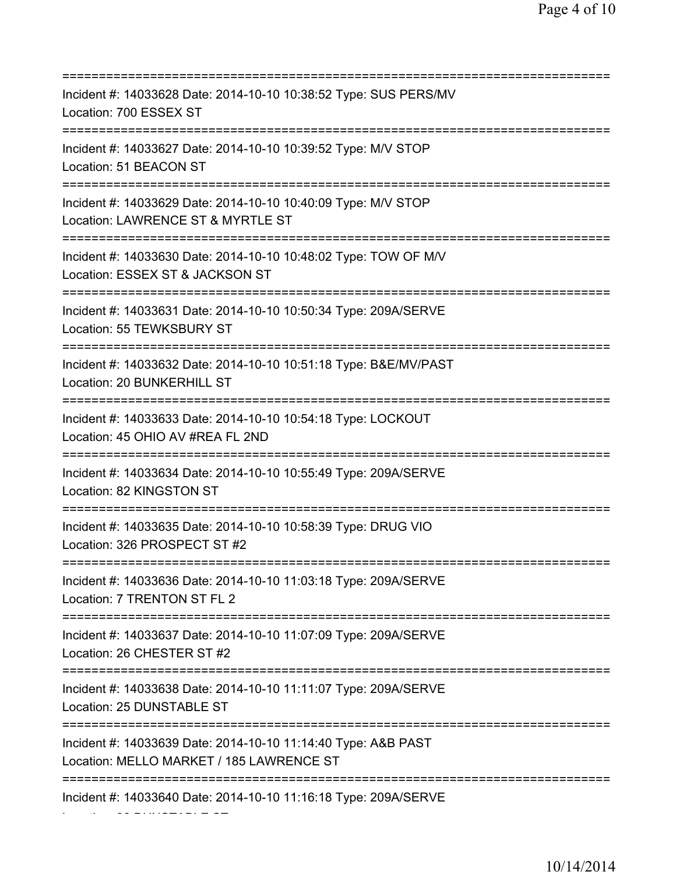=========================================================================== Incident #: 14033628 Date: 2014-10-10 10:38:52 Type: SUS PERS/MV Location: 700 ESSEX ST =========================================================================== Incident #: 14033627 Date: 2014-10-10 10:39:52 Type: M/V STOP Location: 51 BEACON ST =========================================================================== Incident #: 14033629 Date: 2014-10-10 10:40:09 Type: M/V STOP Location: LAWRENCE ST & MYRTLE ST =========================================================================== Incident #: 14033630 Date: 2014-10-10 10:48:02 Type: TOW OF M/V Location: ESSEX ST & JACKSON ST =========================================================================== Incident #: 14033631 Date: 2014-10-10 10:50:34 Type: 209A/SERVE Location: 55 TEWKSBURY ST =========================================================================== Incident #: 14033632 Date: 2014-10-10 10:51:18 Type: B&E/MV/PAST Location: 20 BUNKERHILL ST =========================================================================== Incident #: 14033633 Date: 2014-10-10 10:54:18 Type: LOCKOUT Location: 45 OHIO AV #REA FL 2ND =========================================================================== Incident #: 14033634 Date: 2014-10-10 10:55:49 Type: 209A/SERVE Location: 82 KINGSTON ST =========================================================================== Incident #: 14033635 Date: 2014-10-10 10:58:39 Type: DRUG VIO Location: 326 PROSPECT ST #2 =========================================================================== Incident #: 14033636 Date: 2014-10-10 11:03:18 Type: 209A/SERVE Location: 7 TRENTON ST FL 2 =========================================================================== Incident #: 14033637 Date: 2014-10-10 11:07:09 Type: 209A/SERVE Location: 26 CHESTER ST #2 =========================================================================== Incident #: 14033638 Date: 2014-10-10 11:11:07 Type: 209A/SERVE Location: 25 DUNSTABLE ST =========================================================================== Incident #: 14033639 Date: 2014-10-10 11:14:40 Type: A&B PAST Location: MELLO MARKET / 185 LAWRENCE ST =========================================================================== Incident #: 14033640 Date: 2014-10-10 11:16:18 Type: 209A/SERVE

Location: 38 DUNSTABLE ST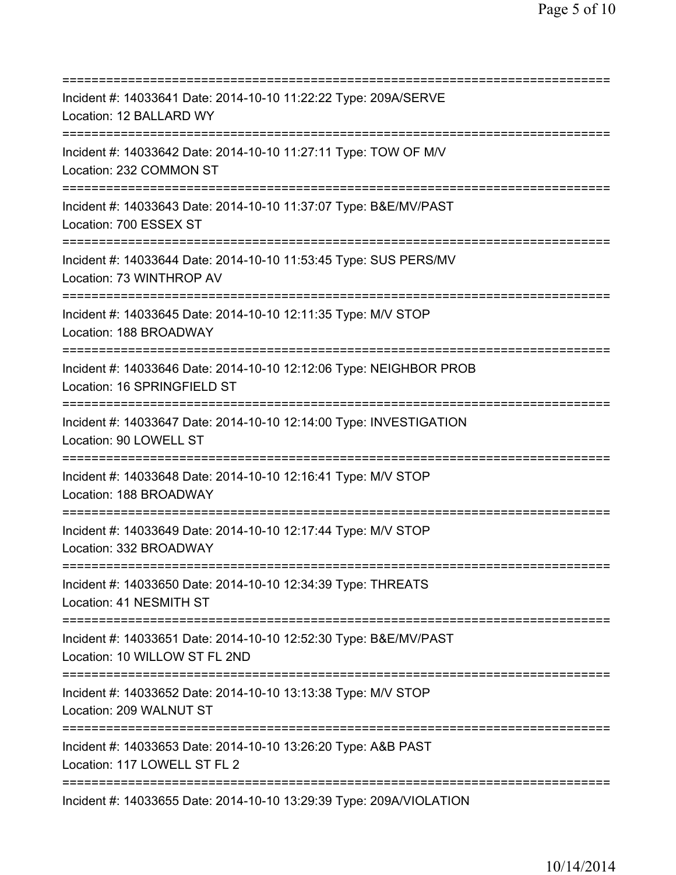| Incident #: 14033641 Date: 2014-10-10 11:22:22 Type: 209A/SERVE<br>Location: 12 BALLARD WY                                      |
|---------------------------------------------------------------------------------------------------------------------------------|
| Incident #: 14033642 Date: 2014-10-10 11:27:11 Type: TOW OF M/V<br>Location: 232 COMMON ST<br>===========================       |
| Incident #: 14033643 Date: 2014-10-10 11:37:07 Type: B&E/MV/PAST<br>Location: 700 ESSEX ST                                      |
| Incident #: 14033644 Date: 2014-10-10 11:53:45 Type: SUS PERS/MV<br>Location: 73 WINTHROP AV                                    |
| Incident #: 14033645 Date: 2014-10-10 12:11:35 Type: M/V STOP<br>Location: 188 BROADWAY                                         |
| Incident #: 14033646 Date: 2014-10-10 12:12:06 Type: NEIGHBOR PROB<br>Location: 16 SPRINGFIELD ST                               |
| Incident #: 14033647 Date: 2014-10-10 12:14:00 Type: INVESTIGATION<br>Location: 90 LOWELL ST<br>;============================== |
| Incident #: 14033648 Date: 2014-10-10 12:16:41 Type: M/V STOP<br>Location: 188 BROADWAY                                         |
| Incident #: 14033649 Date: 2014-10-10 12:17:44 Type: M/V STOP<br>Location: 332 BROADWAY                                         |
| Incident #: 14033650 Date: 2014-10-10 12:34:39 Type: THREATS<br>Location: 41 NESMITH ST                                         |
| Incident #: 14033651 Date: 2014-10-10 12:52:30 Type: B&E/MV/PAST<br>Location: 10 WILLOW ST FL 2ND                               |
| Incident #: 14033652 Date: 2014-10-10 13:13:38 Type: M/V STOP<br>Location: 209 WALNUT ST                                        |
| Incident #: 14033653 Date: 2014-10-10 13:26:20 Type: A&B PAST<br>Location: 117 LOWELL ST FL 2                                   |
| Incident #: 14033655 Date: 2014-10-10 13:29:39 Type: 209A/VIOLATION                                                             |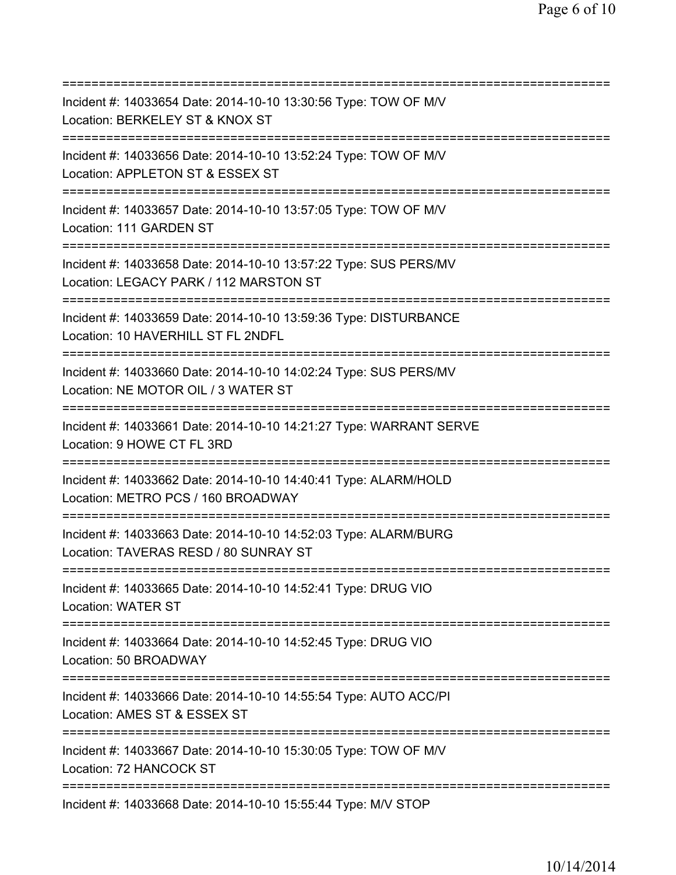| Incident #: 14033654 Date: 2014-10-10 13:30:56 Type: TOW OF M/V<br>Location: BERKELEY ST & KNOX ST                                        |
|-------------------------------------------------------------------------------------------------------------------------------------------|
| =======================<br>Incident #: 14033656 Date: 2014-10-10 13:52:24 Type: TOW OF M/V<br>Location: APPLETON ST & ESSEX ST            |
| Incident #: 14033657 Date: 2014-10-10 13:57:05 Type: TOW OF M/V<br>Location: 111 GARDEN ST                                                |
| Incident #: 14033658 Date: 2014-10-10 13:57:22 Type: SUS PERS/MV<br>Location: LEGACY PARK / 112 MARSTON ST                                |
| Incident #: 14033659 Date: 2014-10-10 13:59:36 Type: DISTURBANCE<br>Location: 10 HAVERHILL ST FL 2NDFL                                    |
| Incident #: 14033660 Date: 2014-10-10 14:02:24 Type: SUS PERS/MV<br>Location: NE MOTOR OIL / 3 WATER ST<br>===========================    |
| Incident #: 14033661 Date: 2014-10-10 14:21:27 Type: WARRANT SERVE<br>Location: 9 HOWE CT FL 3RD<br>===============                       |
| Incident #: 14033662 Date: 2014-10-10 14:40:41 Type: ALARM/HOLD<br>Location: METRO PCS / 160 BROADWAY                                     |
| Incident #: 14033663 Date: 2014-10-10 14:52:03 Type: ALARM/BURG<br>Location: TAVERAS RESD / 80 SUNRAY ST                                  |
| Incident #: 14033665 Date: 2014-10-10 14:52:41 Type: DRUG VIO<br><b>Location: WATER ST</b>                                                |
| Incident #: 14033664 Date: 2014-10-10 14:52:45 Type: DRUG VIO<br>Location: 50 BROADWAY                                                    |
| ;====================================<br>Incident #: 14033666 Date: 2014-10-10 14:55:54 Type: AUTO ACC/PI<br>Location: AMES ST & ESSEX ST |
| Incident #: 14033667 Date: 2014-10-10 15:30:05 Type: TOW OF M/V<br>Location: 72 HANCOCK ST                                                |
| Incident #: 14033668 Date: 2014-10-10 15:55:44 Type: M/V STOP                                                                             |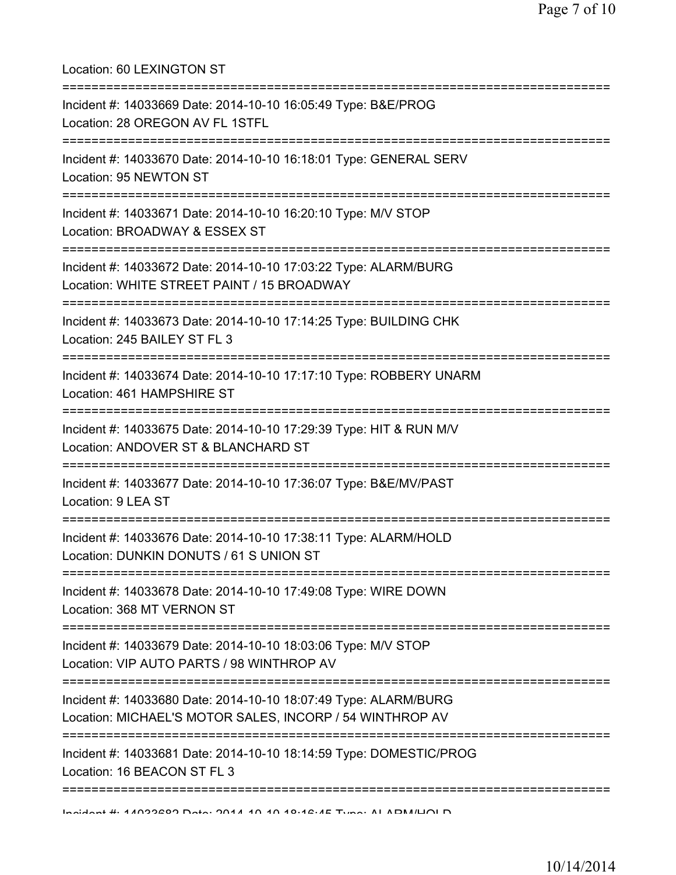| Location: 60 LEXINGTON ST                                                                                                                                         |
|-------------------------------------------------------------------------------------------------------------------------------------------------------------------|
| Incident #: 14033669 Date: 2014-10-10 16:05:49 Type: B&E/PROG<br>Location: 28 OREGON AV FL 1STFL                                                                  |
| Incident #: 14033670 Date: 2014-10-10 16:18:01 Type: GENERAL SERV<br>Location: 95 NEWTON ST<br>;==================================<br>=========================== |
| Incident #: 14033671 Date: 2014-10-10 16:20:10 Type: M/V STOP<br>Location: BROADWAY & ESSEX ST                                                                    |
| Incident #: 14033672 Date: 2014-10-10 17:03:22 Type: ALARM/BURG<br>Location: WHITE STREET PAINT / 15 BROADWAY                                                     |
| Incident #: 14033673 Date: 2014-10-10 17:14:25 Type: BUILDING CHK<br>Location: 245 BAILEY ST FL 3                                                                 |
| Incident #: 14033674 Date: 2014-10-10 17:17:10 Type: ROBBERY UNARM<br>Location: 461 HAMPSHIRE ST                                                                  |
| ====================================<br>Incident #: 14033675 Date: 2014-10-10 17:29:39 Type: HIT & RUN M/V<br>Location: ANDOVER ST & BLANCHARD ST                 |
| Incident #: 14033677 Date: 2014-10-10 17:36:07 Type: B&E/MV/PAST<br>Location: 9 LEA ST                                                                            |
| Incident #: 14033676 Date: 2014-10-10 17:38:11 Type: ALARM/HOLD<br>Location: DUNKIN DONUTS / 61 S UNION ST                                                        |
| Incident #: 14033678 Date: 2014-10-10 17:49:08 Type: WIRE DOWN<br>Location: 368 MT VERNON ST                                                                      |
| Incident #: 14033679 Date: 2014-10-10 18:03:06 Type: M/V STOP<br>Location: VIP AUTO PARTS / 98 WINTHROP AV                                                        |
| Incident #: 14033680 Date: 2014-10-10 18:07:49 Type: ALARM/BURG<br>Location: MICHAEL'S MOTOR SALES, INCORP / 54 WINTHROP AV                                       |
| Incident #: 14033681 Date: 2014-10-10 18:14:59 Type: DOMESTIC/PROG<br>Location: 16 BEACON ST FL 3                                                                 |
| <u>Indidant #: 11099209 Data: 9011 10 10 10:12:15 Tuna: AI ADMILIOI D</u>                                                                                         |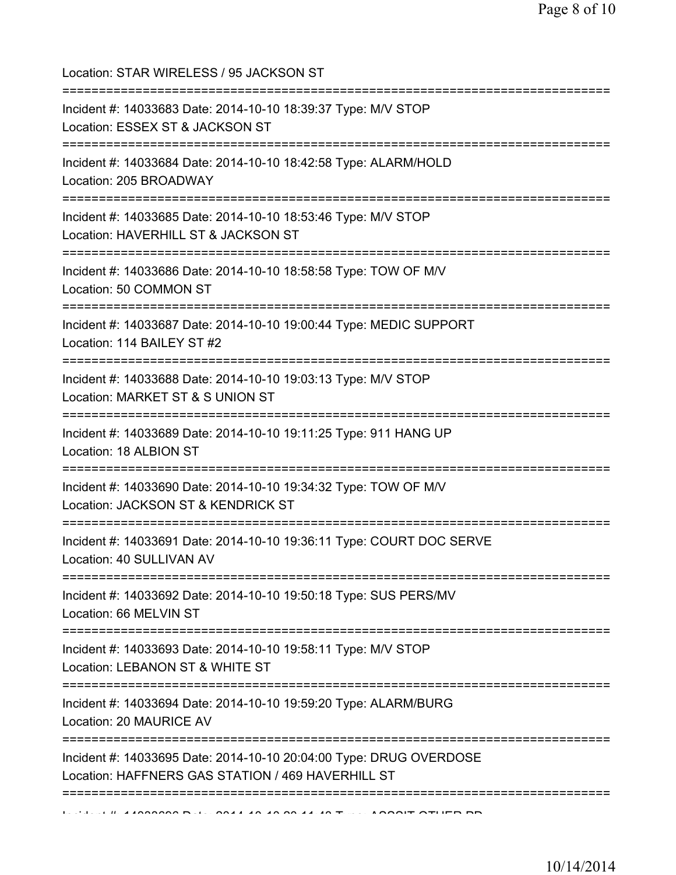Location: STAR WIRELESS / 95 JACKSON ST =========================================================================== Incident #: 14033683 Date: 2014-10-10 18:39:37 Type: M/V STOP Location: ESSEX ST & JACKSON ST =========================================================================== Incident #: 14033684 Date: 2014-10-10 18:42:58 Type: ALARM/HOLD Location: 205 BROADWAY =========================================================================== Incident #: 14033685 Date: 2014-10-10 18:53:46 Type: M/V STOP Location: HAVERHILL ST & JACKSON ST =========================================================================== Incident #: 14033686 Date: 2014-10-10 18:58:58 Type: TOW OF M/V Location: 50 COMMON ST =========================================================================== Incident #: 14033687 Date: 2014-10-10 19:00:44 Type: MEDIC SUPPORT Location: 114 BAILEY ST #2 =========================================================================== Incident #: 14033688 Date: 2014-10-10 19:03:13 Type: M/V STOP Location: MARKET ST & S UNION ST =========================================================================== Incident #: 14033689 Date: 2014-10-10 19:11:25 Type: 911 HANG UP Location: 18 ALBION ST =========================================================================== Incident #: 14033690 Date: 2014-10-10 19:34:32 Type: TOW OF M/V Location: JACKSON ST & KENDRICK ST =========================================================================== Incident #: 14033691 Date: 2014-10-10 19:36:11 Type: COURT DOC SERVE Location: 40 SULLIVAN AV =========================================================================== Incident #: 14033692 Date: 2014-10-10 19:50:18 Type: SUS PERS/MV Location: 66 MELVIN ST =========================================================================== Incident #: 14033693 Date: 2014-10-10 19:58:11 Type: M/V STOP Location: LEBANON ST & WHITE ST =========================================================================== Incident #: 14033694 Date: 2014-10-10 19:59:20 Type: ALARM/BURG Location: 20 MAURICE AV =========================================================================== Incident #: 14033695 Date: 2014-10-10 20:04:00 Type: DRUG OVERDOSE Location: HAFFNERS GAS STATION / 469 HAVERHILL ST ===========================================================================  $1$   $\mu$   $\lambda$  10033696 Date: 2014 10 10 20:11:49 Type: ASSSIT OTHER PD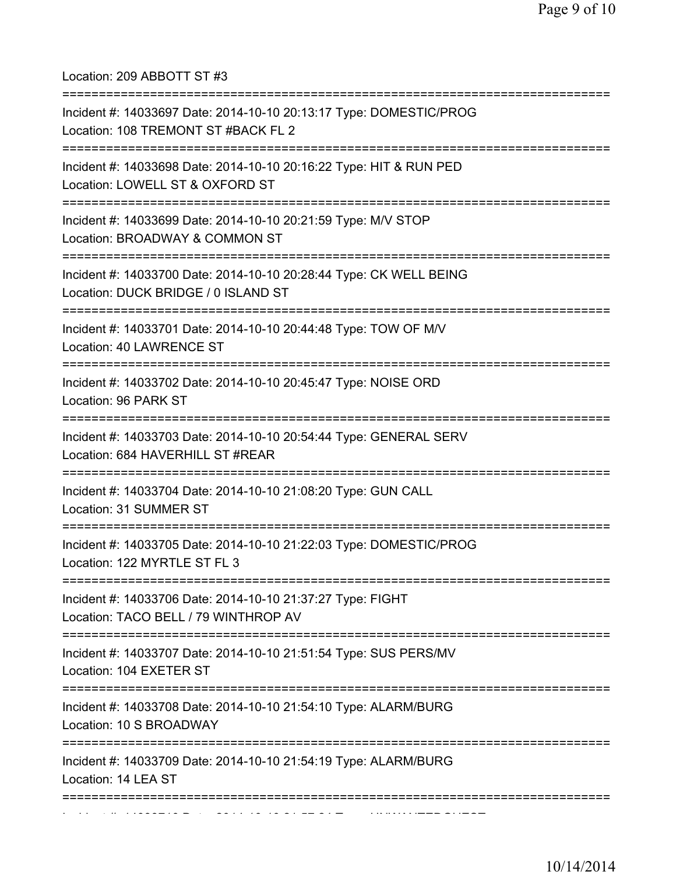Location: 209 ABBOTT ST #3

| Incident #: 14033697 Date: 2014-10-10 20:13:17 Type: DOMESTIC/PROG<br>Location: 108 TREMONT ST #BACK FL 2                                      |
|------------------------------------------------------------------------------------------------------------------------------------------------|
| Incident #: 14033698 Date: 2014-10-10 20:16:22 Type: HIT & RUN PED<br>Location: LOWELL ST & OXFORD ST<br>===================================== |
| Incident #: 14033699 Date: 2014-10-10 20:21:59 Type: M/V STOP<br>Location: BROADWAY & COMMON ST<br>==============================              |
| Incident #: 14033700 Date: 2014-10-10 20:28:44 Type: CK WELL BEING<br>Location: DUCK BRIDGE / 0 ISLAND ST                                      |
| Incident #: 14033701 Date: 2014-10-10 20:44:48 Type: TOW OF M/V<br>Location: 40 LAWRENCE ST                                                    |
| Incident #: 14033702 Date: 2014-10-10 20:45:47 Type: NOISE ORD<br>Location: 96 PARK ST                                                         |
| Incident #: 14033703 Date: 2014-10-10 20:54:44 Type: GENERAL SERV<br>Location: 684 HAVERHILL ST #REAR                                          |
| Incident #: 14033704 Date: 2014-10-10 21:08:20 Type: GUN CALL<br>Location: 31 SUMMER ST                                                        |
| Incident #: 14033705 Date: 2014-10-10 21:22:03 Type: DOMESTIC/PROG<br>Location: 122 MYRTLE ST FL 3                                             |
| Incident #: 14033706 Date: 2014-10-10 21:37:27 Type: FIGHT<br>Location: TACO BELL / 79 WINTHROP AV                                             |
| Incident #: 14033707 Date: 2014-10-10 21:51:54 Type: SUS PERS/MV<br>Location: 104 EXETER ST<br>------------------------------                  |
| Incident #: 14033708 Date: 2014-10-10 21:54:10 Type: ALARM/BURG<br>Location: 10 S BROADWAY                                                     |
| Incident #: 14033709 Date: 2014-10-10 21:54:19 Type: ALARM/BURG<br>Location: 14 LEA ST                                                         |
|                                                                                                                                                |